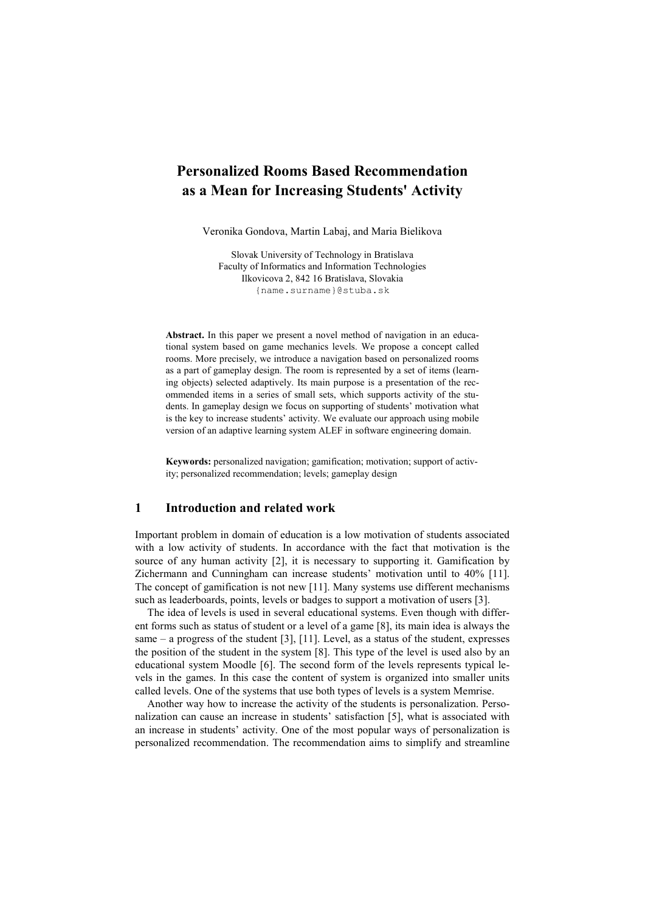# Personalized Rooms Based Recommendation as a Mean for Increasing Students' Activity

Veronika Gondova, Martin Labaj, and Maria Bielikova

Slovak University of Technology in Bratislava Faculty of Informatics and Information Technologies Ilkovicova 2, 842 16 Bratislava, Slovakia {name.surname}@stuba.sk

Abstract. In this paper we present a novel method of navigation in an educational system based on game mechanics levels. We propose a concept called rooms. More precisely, we introduce a navigation based on personalized rooms as a part of gameplay design. The room is represented by a set of items (learning objects) selected adaptively. Its main purpose is a presentation of the recommended items in a series of small sets, which supports activity of the students. In gameplay design we focus on supporting of students' motivation what is the key to increase students' activity. We evaluate our approach using mobile version of an adaptive learning system ALEF in software engineering domain.

Keywords: personalized navigation; gamification; motivation; support of activity; personalized recommendation; levels; gameplay design

### 1 Introduction and related work

Important problem in domain of education is a low motivation of students associated with a low activity of students. In accordance with the fact that motivation is the source of any human activity [2], it is necessary to supporting it. Gamification by Zichermann and Cunningham can increase students' motivation until to 40% [11]. The concept of gamification is not new [11]. Many systems use different mechanisms such as leaderboards, points, levels or badges to support a motivation of users [3].

The idea of levels is used in several educational systems. Even though with different forms such as status of student or a level of a game [8], its main idea is always the same – a progress of the student  $[3]$ ,  $[11]$ . Level, as a status of the student, expresses the position of the student in the system [8]. This type of the level is used also by an educational system Moodle [6]. The second form of the levels represents typical levels in the games. In this case the content of system is organized into smaller units called levels. One of the systems that use both types of levels is a system Memrise.

Another way how to increase the activity of the students is personalization. Personalization can cause an increase in students' satisfaction [5], what is associated with an increase in students' activity. One of the most popular ways of personalization is personalized recommendation. The recommendation aims to simplify and streamline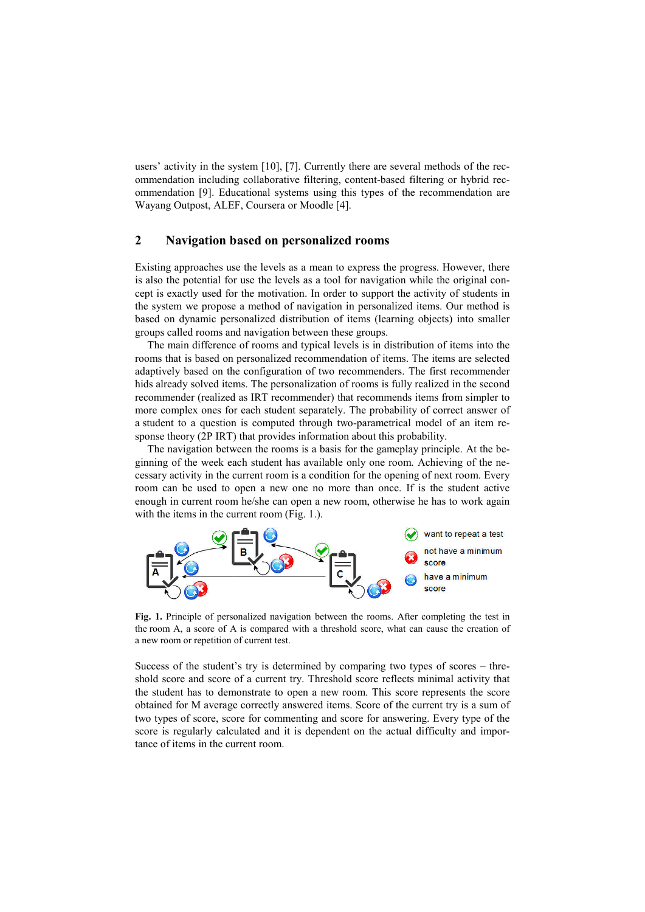users' activity in the system [10], [7]. Currently there are several methods of ommendation including collaborative filtering, content-based filtering or hybrid recommendation [9]. Educational systems using this types of the recommendation are Wayang Outpost, ALEF, Coursera or Moodle [4].

### 2 Navigation based on personalized rooms

Existing approaches use the levels as a mean to express the progress. However, there Immendation [9]. Educational systems using this types of the recommendation are<br>
Wayang Outpost, ALEF, Coursera or Moodle [4].<br> **2 Navigation based on personalized rooms**<br>
Existing approaches use the levels as a mean to cept is exactly used for the motivation. In order to support the activity of students in the system we propose a method of navigation in personalized items. Our method is based on dynamic personalized distribution of items (learning objects) into smaller groups called rooms and navigation between these groups. he motivation. In order to support the activity of students in<br>method of navigation in personalized items. Our method is<br>nalized distribution of items (learning objects) into smaller<br>navigation between these groups.<br>f room

The main difference of rooms and typical levels is in distribution of items rooms that is based on personalized recommendation of items. The items are selected adaptively based on the configuration of two recommenders. The first recommender adaptively based on the configuration of two recommenders. The first recommender hids already solved items. The personalization of rooms is fully realized in the second recommender (realized as IRT recommender) that recommends items from simpler to recommender (realized as IRT recommender) that recommends items from simpler to more complex ones for each student separately. The probability of correct answer of a student to a question is computed through two-parametrical model of an item response theory (2P IRT) that provides information about this probability. s' activity in the system [10]. [7]. Currently there are several methods of the rec-<br>section and the system [10]. [7]. Extention collaborative filtering, content-based filtering or hybrid rec-<br>endation [9]. Educational sys

The navigation between the rooms is a basis for the gameplay principle. At the beginning of the week each student has available only one room. Achieving of the necessary activity in the current room is a condition for the opening of next room. Every room can be used to open a new one no more than once. If is the student active enough in current room he/she can open a new room, otherwise he has to work again with the items in the current room (Fig. 1.).



Fig. 1. Principle of personalized navigation between the rooms. After completing the test in the room A, a score of A is compared with a threshold score, what can cause the creation of a new room or repetition of current test.

Success of the student's try is determined by comparing two types of scores – threshold score and score of a current try. Threshold score reflects minimal activity that the student has to demonstrate to open a new room. This score represents the score the student has to demonstrate to open a new room. This score represents the score obtained for M average correctly answered items. Score of the current try is a sum of two types of score, score for commenting and score for answering. Every type of the score is regularly calculated and it is dependent on the actual difficulty and imporscore is regularly calculated and it is dependent on the actual difficulty and impo tance of items in the current room.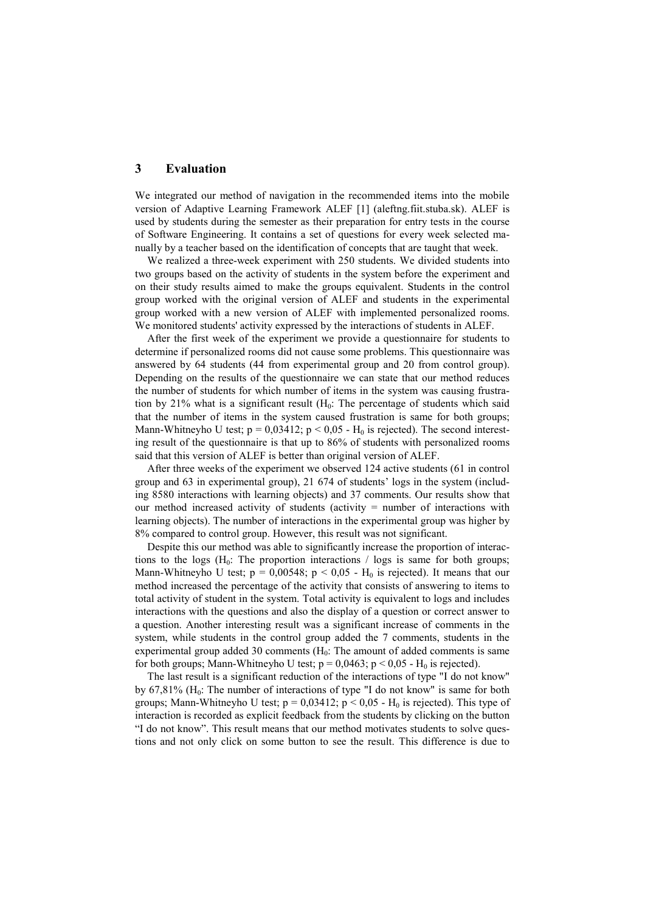# 3 Evaluation

We integrated our method of navigation in the recommended items into the mobile version of Adaptive Learning Framework ALEF [1] (aleftng.fiit.stuba.sk). ALEF is used by students during the semester as their preparation for entry tests in the course of Software Engineering. It contains a set of questions for every week selected manually by a teacher based on the identification of concepts that are taught that week.

We realized a three-week experiment with 250 students. We divided students into two groups based on the activity of students in the system before the experiment and on their study results aimed to make the groups equivalent. Students in the control group worked with the original version of ALEF and students in the experimental group worked with a new version of ALEF with implemented personalized rooms. We monitored students' activity expressed by the interactions of students in ALEF.

After the first week of the experiment we provide a questionnaire for students to determine if personalized rooms did not cause some problems. This questionnaire was answered by 64 students (44 from experimental group and 20 from control group). Depending on the results of the questionnaire we can state that our method reduces the number of students for which number of items in the system was causing frustration by 21% what is a significant result  $(H_0:$  The percentage of students which said that the number of items in the system caused frustration is same for both groups; Mann-Whitneyho U test;  $p = 0.03412$ ;  $p < 0.05$  - H<sub>0</sub> is rejected). The second interesting result of the questionnaire is that up to 86% of students with personalized rooms said that this version of ALEF is better than original version of ALEF.

After three weeks of the experiment we observed 124 active students (61 in control group and 63 in experimental group), 21 674 of students' logs in the system (including 8580 interactions with learning objects) and 37 comments. Our results show that our method increased activity of students (activity = number of interactions with learning objects). The number of interactions in the experimental group was higher by 8% compared to control group. However, this result was not significant.

Despite this our method was able to significantly increase the proportion of interactions to the logs  $(H_0:$  The proportion interactions / logs is same for both groups; Mann-Whitneyho U test;  $p = 0.00548$ ;  $p < 0.05$  - H<sub>0</sub> is rejected). It means that our method increased the percentage of the activity that consists of answering to items to total activity of student in the system. Total activity is equivalent to logs and includes interactions with the questions and also the display of a question or correct answer to a question. Another interesting result was a significant increase of comments in the system, while students in the control group added the 7 comments, students in the experimental group added 30 comments  $(H_0:$  The amount of added comments is same for both groups; Mann-Whitneyho U test;  $p = 0.0463$ ;  $p < 0.05$  - H<sub>0</sub> is rejected).

The last result is a significant reduction of the interactions of type "I do not know" by 67,81% ( $H_0$ : The number of interactions of type "I do not know" is same for both groups; Mann-Whitneyho U test;  $p = 0.03412$ ;  $p < 0.05$  - H<sub>0</sub> is rejected). This type of interaction is recorded as explicit feedback from the students by clicking on the button "I do not know". This result means that our method motivates students to solve questions and not only click on some button to see the result. This difference is due to